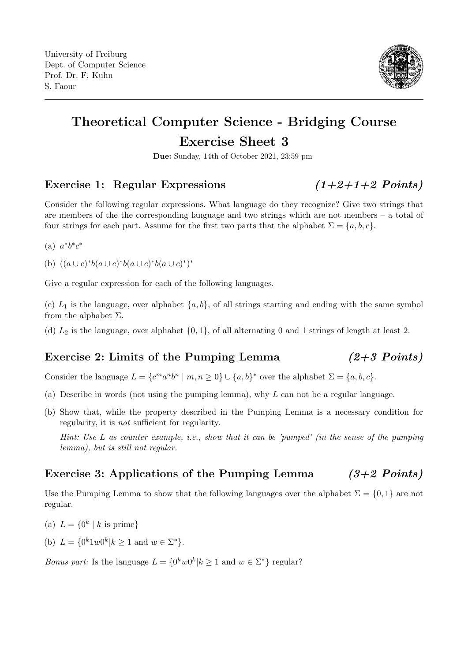

# Theoretical Computer Science - Bridging Course Exercise Sheet 3

Due: Sunday, 14th of October 2021, 23:59 pm

#### Exercise 1: Regular Expressions  $(1+2+1+2$  Points)

Consider the following regular expressions. What language do they recognize? Give two strings that are members of the the corresponding language and two strings which are not members – a total of four strings for each part. Assume for the first two parts that the alphabet  $\Sigma = \{a, b, c\}$ .

(a)  $a^*b^*c^*$ 

(b)  $((a \cup c)^*b(a \cup c)^*b(a \cup c)^*b(a \cup c)^*)^*$ 

Give a regular expression for each of the following languages.

(c)  $L_1$  is the language, over alphabet  $\{a, b\}$ , of all strings starting and ending with the same symbol from the alphabet  $\Sigma$ .

(d)  $L_2$  is the language, over alphabet  $\{0, 1\}$ , of all alternating 0 and 1 strings of length at least 2.

### Exercise 2: Limits of the Pumping Lemma  $(2+3$  Points)

Consider the language  $L = \{c^m a^n b^n \mid m, n \ge 0\} \cup \{a, b\}^*$  over the alphabet  $\Sigma = \{a, b, c\}.$ 

- (a) Describe in words (not using the pumping lemma), why  $L$  can not be a regular language.
- (b) Show that, while the property described in the Pumping Lemma is a necessary condition for regularity, it is not sufficient for regularity.

Hint: Use L as counter example, i.e., show that it can be 'pumped' (in the sense of the pumping lemma), but is still not regular.

### Exercise 3: Applications of the Pumping Lemma  $(3+2$  Points)

Use the Pumping Lemma to show that the following languages over the alphabet  $\Sigma = \{0, 1\}$  are not regular.

- (a)  $L = \{0^k | k \text{ is prime}\}\$
- (b)  $L = \{0^k 1 w 0^k | k \ge 1 \text{ and } w \in \Sigma^*\}.$

*Bonus part:* Is the language  $L = \{0^k w 0^k | k \ge 1 \text{ and } w \in \Sigma^*\}$  regular?